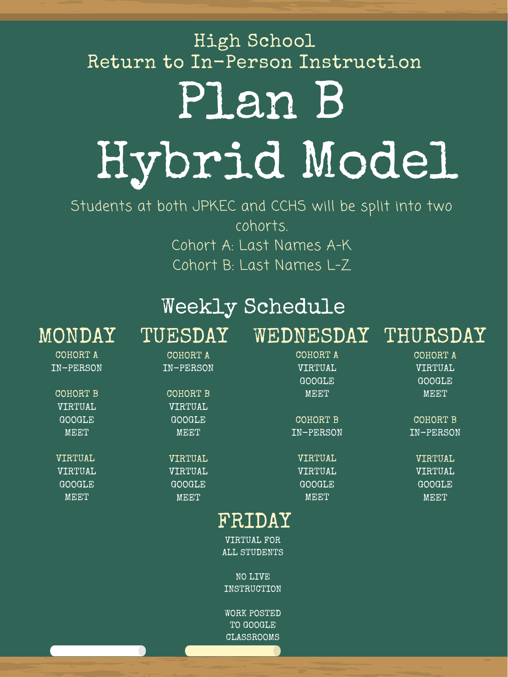Students at both JPKEC and CCHS will be split into two cohorts. Cohort A: Last Names A-K Cohort B: Last Names L-Z

# Plan B Hybrid Model High School Return to In-Person Instruction

### Weekly Schedule MONDAY TUESDAY WEDNESDAY THURSDAY

| COHORT A      | COHORT A      | COHORT A  | COHORT A      |
|---------------|---------------|-----------|---------------|
| IN-PERSON     | IN-PERSON     | VIRTUAL   | VIRTUAL       |
|               |               | GOOGLE    | <b>GOOGLE</b> |
| COHORT B      | COHORT B      | MEET      | MEET          |
| VIRTUAL       | VIRTUAL       |           |               |
| GOOGLE        | GOOGLE        | COHORT B  | COHORT B      |
| MEET          | MEET          | IN-PERSON | IN-PERSON     |
|               |               |           |               |
| VIRTUAL       | VIRTUAL       | VIRTUAL   | VIRTUAL       |
| VIRTUAL       | VIRTUAL       | VIRTUAL   | VIRTUAL       |
| <b>GOOGLE</b> | <b>GOOGLE</b> | GOOGLE    | <b>GOOGLE</b> |
| MEET          | MEET          | MEET      | MEET          |
|               |               |           |               |

### FRIDAY

VIRTUAL FOR ALL STUDENTS

NO LIVE INSTRUCTION

WORK POSTED TO GOOGLE CLASSROOMS